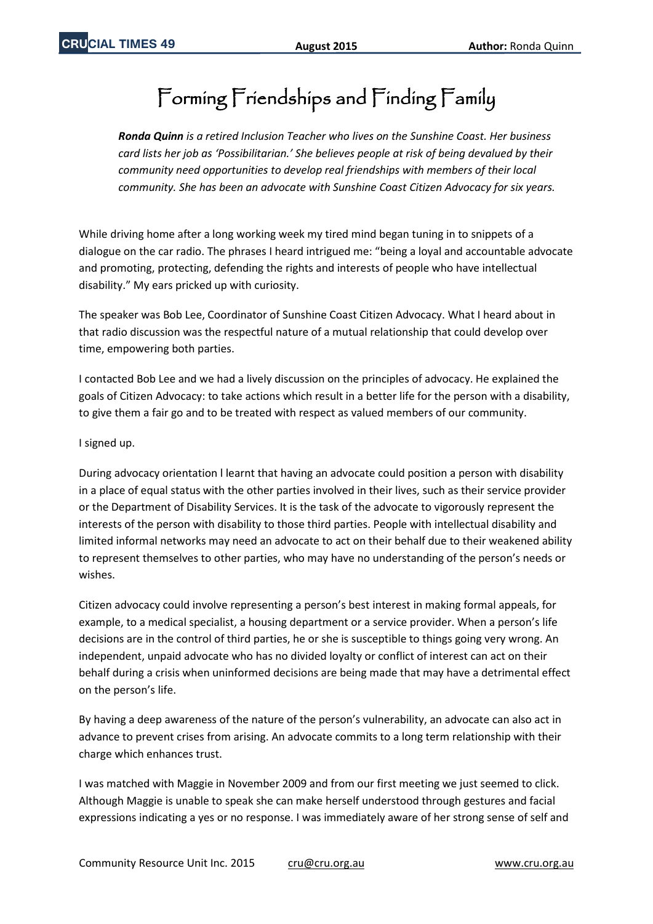## Forming Friendships and Finding Family

*Ronda Quinn is a retired Inclusion Teacher who lives on the Sunshine Coast. Her business card lists her job as 'Possibilitarian.' She believes people at risk of being devalued by their community need opportunities to develop real friendships with members of their local community. She has been an advocate with Sunshine Coast Citizen Advocacy for six years.*

While driving home after a long working week my tired mind began tuning in to snippets of a dialogue on the car radio. The phrases I heard intrigued me: "being a loyal and accountable advocate and promoting, protecting, defending the rights and interests of people who have intellectual disability." My ears pricked up with curiosity.

The speaker was Bob Lee, Coordinator of Sunshine Coast Citizen Advocacy. What I heard about in that radio discussion was the respectful nature of a mutual relationship that could develop over time, empowering both parties.

I contacted Bob Lee and we had a lively discussion on the principles of advocacy. He explained the goals of Citizen Advocacy: to take actions which result in a better life for the person with a disability, to give them a fair go and to be treated with respect as valued members of our community.

## I signed up.

During advocacy orientation l learnt that having an advocate could position a person with disability in a place of equal status with the other parties involved in their lives, such as their service provider or the Department of Disability Services. It is the task of the advocate to vigorously represent the interests of the person with disability to those third parties. People with intellectual disability and limited informal networks may need an advocate to act on their behalf due to their weakened ability to represent themselves to other parties, who may have no understanding of the person's needs or wishes.

Citizen advocacy could involve representing a person's best interest in making formal appeals, for example, to a medical specialist, a housing department or a service provider. When a person's life decisions are in the control of third parties, he or she is susceptible to things going very wrong. An independent, unpaid advocate who has no divided loyalty or conflict of interest can act on their behalf during a crisis when uninformed decisions are being made that may have a detrimental effect on the person's life.

By having a deep awareness of the nature of the person's vulnerability, an advocate can also act in advance to prevent crises from arising. An advocate commits to a long term relationship with their charge which enhances trust.

I was matched with Maggie in November 2009 and from our first meeting we just seemed to click. Although Maggie is unable to speak she can make herself understood through gestures and facial expressions indicating a yes or no response. I was immediately aware of her strong sense of self and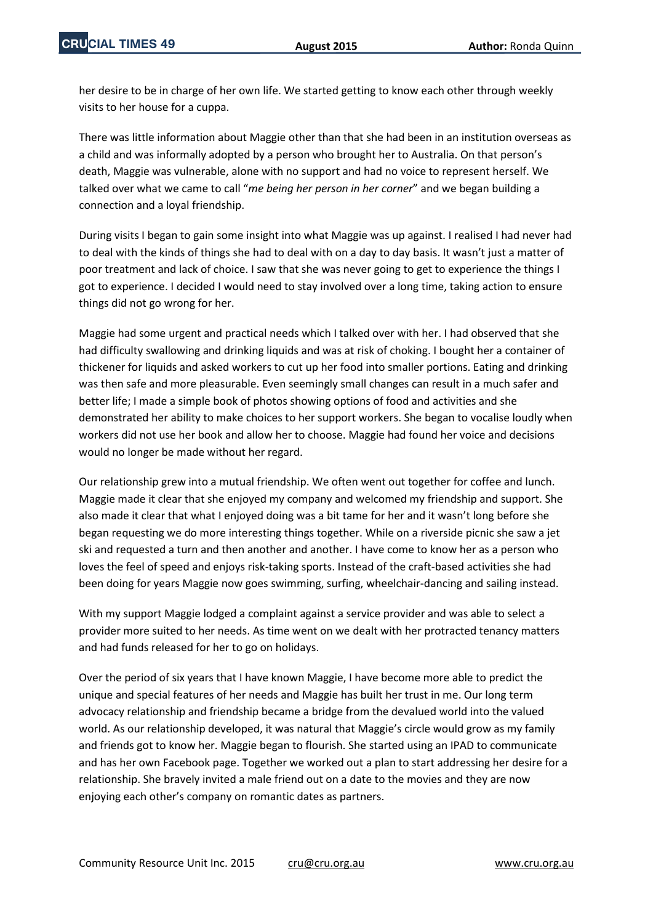her desire to be in charge of her own life. We started getting to know each other through weekly visits to her house for a cuppa.

There was little information about Maggie other than that she had been in an institution overseas as a child and was informally adopted by a person who brought her to Australia. On that person's death, Maggie was vulnerable, alone with no support and had no voice to represent herself. We talked over what we came to call "*me being her person in her corner*" and we began building a connection and a loyal friendship.

During visits I began to gain some insight into what Maggie was up against. I realised I had never had to deal with the kinds of things she had to deal with on a day to day basis. It wasn't just a matter of poor treatment and lack of choice. I saw that she was never going to get to experience the things I got to experience. I decided I would need to stay involved over a long time, taking action to ensure things did not go wrong for her.

Maggie had some urgent and practical needs which I talked over with her. I had observed that she had difficulty swallowing and drinking liquids and was at risk of choking. I bought her a container of thickener for liquids and asked workers to cut up her food into smaller portions. Eating and drinking was then safe and more pleasurable. Even seemingly small changes can result in a much safer and better life; I made a simple book of photos showing options of food and activities and she demonstrated her ability to make choices to her support workers. She began to vocalise loudly when workers did not use her book and allow her to choose. Maggie had found her voice and decisions would no longer be made without her regard.

Our relationship grew into a mutual friendship. We often went out together for coffee and lunch. Maggie made it clear that she enjoyed my company and welcomed my friendship and support. She also made it clear that what I enjoyed doing was a bit tame for her and it wasn't long before she began requesting we do more interesting things together. While on a riverside picnic she saw a jet ski and requested a turn and then another and another. I have come to know her as a person who loves the feel of speed and enjoys risk-taking sports. Instead of the craft-based activities she had been doing for years Maggie now goes swimming, surfing, wheelchair-dancing and sailing instead.

With my support Maggie lodged a complaint against a service provider and was able to select a provider more suited to her needs. As time went on we dealt with her protracted tenancy matters and had funds released for her to go on holidays.

Over the period of six years that I have known Maggie, I have become more able to predict the unique and special features of her needs and Maggie has built her trust in me. Our long term advocacy relationship and friendship became a bridge from the devalued world into the valued world. As our relationship developed, it was natural that Maggie's circle would grow as my family and friends got to know her. Maggie began to flourish. She started using an IPAD to communicate and has her own Facebook page. Together we worked out a plan to start addressing her desire for a relationship. She bravely invited a male friend out on a date to the movies and they are now enjoying each other's company on romantic dates as partners.